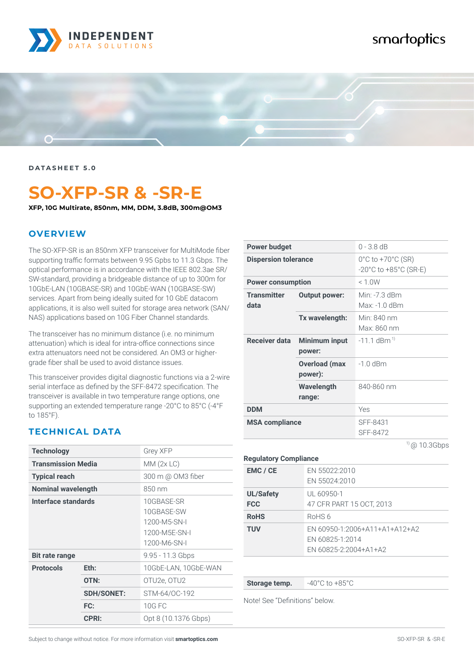

## smartoptics



**DATASHEET 5.0**

# **SO-XFP-SR & -SR-E**

**XFP, 10G Multirate, 850nm, MM, DDM, 3.8dB, 300m@OM3**

#### **OVERVIEW**

The SO-XFP-SR is an 850nm XFP transceiver for MultiMode fiber supporting traffic formats between 9.95 Gpbs to 11.3 Gbps. The optical performance is in accordance with the IEEE 802.3ae SR/ SW-standard, providing a bridgeable distance of up to 300m for 10GbE-LAN (10GBASE-SR) and 10GbE-WAN (10GBASE-SW) services. Apart from being ideally suited for 10 GbE datacom applications, it is also well suited for storage area network (SAN/ NAS) applications based on 10G Fiber Channel standards.

The transceiver has no minimum distance (i.e. no minimum attenuation) which is ideal for intra-office connections since extra attenuators need not be considered. An OM3 or highergrade fiber shall be used to avoid distance issues.

This transceiver provides digital diagnostic functions via a 2-wire serial interface as defined by the SFF-8472 specification. The transceiver is available in two temperature range options, one supporting an extended temperature range -20°C to 85°C (-4°F to 185°F).

#### **TECHNICAL DATA**

| <b>Technology</b>         |                   | Grey XFP                                                                  |
|---------------------------|-------------------|---------------------------------------------------------------------------|
| <b>Transmission Media</b> |                   | MM(2x LC)                                                                 |
| <b>Typical reach</b>      |                   | 300 m @ OM3 fiber                                                         |
| <b>Nominal wavelength</b> |                   | 850 nm                                                                    |
| Interface standards       |                   | 10GBASE-SR<br>10GBASE-SW<br>1200-M5-SN-I<br>1200-M5E-SN-I<br>1200-M6-SN-I |
| <b>Bit rate range</b>     |                   | $9.95 - 11.3$ Gbps                                                        |
| <b>Protocols</b>          | Eth:              | 10GbE-LAN, 10GbE-WAN                                                      |
|                           | OTN:              | OTU2e, OTU2                                                               |
|                           | <b>SDH/SONET:</b> | STM-64/OC-192                                                             |
|                           | FC:               | <b>10G FC</b>                                                             |
|                           | <b>CPRI:</b>      | Opt 8 (10.1376 Gbps)                                                      |

| Power budget                |                                 | $0 - 3.8$ dB                                                                        |
|-----------------------------|---------------------------------|-------------------------------------------------------------------------------------|
| <b>Dispersion tolerance</b> |                                 | $0^{\circ}$ C to +70 $^{\circ}$ C (SR)<br>$-20^{\circ}$ C to $+85^{\circ}$ C (SR-E) |
| <b>Power consumption</b>    |                                 | < 1.0W                                                                              |
| <b>Transmitter</b><br>data  | <b>Output power:</b>            | Min: -7.3 dBm<br>Max: -1.0 dBm                                                      |
|                             | Tx wavelength:                  | Min: $840 \text{ nm}$<br>Max: 860 nm                                                |
| Receiver data               | <b>Minimum input</b><br>power:  | $-111$ dBm <sup>1)</sup>                                                            |
|                             | <b>Overload (max</b><br>power): | $-1.0$ dBm                                                                          |
|                             | Wavelength<br>range:            | 840-860 nm                                                                          |
| <b>DDM</b>                  |                                 | Yes                                                                                 |
| <b>MSA compliance</b>       |                                 | SFF-8431<br>SFF-8472                                                                |

 $1)$  @ 10.3Gbps

| <b>Regulatory Compliance</b>   |                                                                           |  |
|--------------------------------|---------------------------------------------------------------------------|--|
| EMC / CE                       | EN 55022:2010<br>EN 55024:2010                                            |  |
| <b>UL/Safety</b><br><b>FCC</b> | UL 60950-1<br>47 CFR PART 15 OCT, 2013                                    |  |
| <b>RoHS</b>                    | RoHS 6                                                                    |  |
| <b>TUV</b>                     | EN 60950-1:2006+A11+A1+A12+A2<br>EN 60825-1:2014<br>EN 60825-2:2004+A1+A2 |  |

**Storage temp.**  $-40^{\circ}$ C to  $+85^{\circ}$ C

Note! See "Definitions" below.